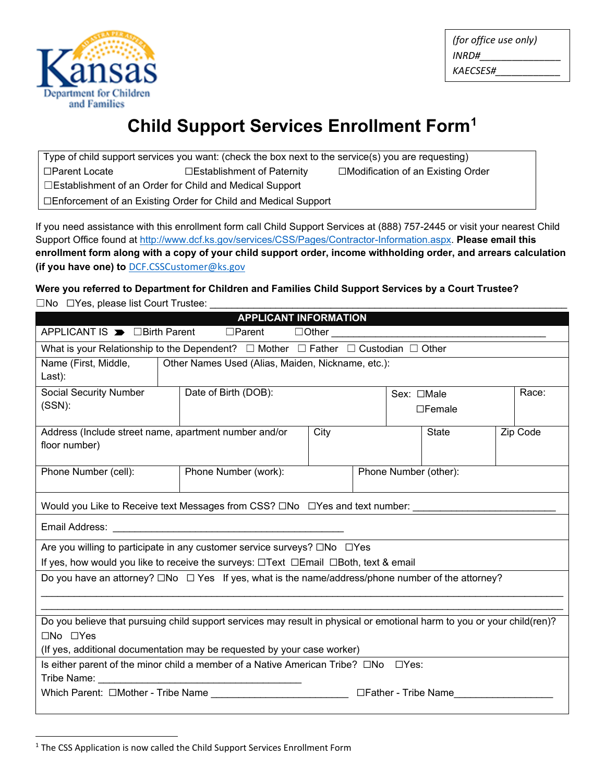

## **[Chil](http://dcfnet.dcf.ks.gov/)d Support Services Enrollment Form[1](#page-0-0)**

Type of child support services you want: (check the box next to the service(s) you are requesting) ☐Parent Locate ☐Establishment of Paternity ☐Modification of an Existing Order ☐Establishment of an Order for Child and Medical Support ☐Enforcement of an Existing Order for Child and Medical Support

If you need assistance with this enrollment form call Child Support Services at (888) 757-2445 or visit your nearest Child Support Office found at [http://www.dcf.ks.gov/services/CSS/Pages/Contractor-Information.aspx.](http://www.dcf.ks.gov/services/CSS/Pages/Contractor-Information.aspx) **Please email this enrollment form along with a copy of your child support order, income withholding order, and arrears calculation (if you have one) to** [DCF.CSSCustomer@ks.gov](mailto:DCF.CSSCustomer@ks.gov)

## **Were you referred to Department for Children and Families Child Support Services by a Court Trustee?** □No □Yes, please list Court Trustee:

| <b>APPLICANT INFORMATION</b>                                                                                            |                                                                                                       |                                                   |  |               |                  |                       |  |          |
|-------------------------------------------------------------------------------------------------------------------------|-------------------------------------------------------------------------------------------------------|---------------------------------------------------|--|---------------|------------------|-----------------------|--|----------|
| APPLICANT IS ■ □Birth Parent                                                                                            |                                                                                                       | □Parent   □Other _________                        |  |               |                  |                       |  |          |
|                                                                                                                         | What is your Relationship to the Dependent? $\Box$ Mother $\Box$ Father $\Box$ Custodian $\Box$ Other |                                                   |  |               |                  |                       |  |          |
| Name (First, Middle,                                                                                                    |                                                                                                       | Other Names Used (Alias, Maiden, Nickname, etc.): |  |               |                  |                       |  |          |
| Last):                                                                                                                  |                                                                                                       |                                                   |  |               |                  |                       |  |          |
| <b>Social Security Number</b>                                                                                           |                                                                                                       | Date of Birth (DOB):                              |  |               | Sex: □Male       |                       |  | Race:    |
| $(SSN)$ :                                                                                                               |                                                                                                       |                                                   |  |               | $\square$ Female |                       |  |          |
|                                                                                                                         |                                                                                                       |                                                   |  |               |                  |                       |  |          |
| Address (Include street name, apartment number and/or                                                                   |                                                                                                       |                                                   |  | State<br>City |                  |                       |  | Zip Code |
| floor number)                                                                                                           |                                                                                                       |                                                   |  |               |                  |                       |  |          |
| Phone Number (cell):                                                                                                    |                                                                                                       | Phone Number (work):                              |  |               |                  | Phone Number (other): |  |          |
|                                                                                                                         |                                                                                                       |                                                   |  |               |                  |                       |  |          |
|                                                                                                                         |                                                                                                       |                                                   |  |               |                  |                       |  |          |
| Would you Like to Receive text Messages from CSS? ONo DYes and text number: _______________________                     |                                                                                                       |                                                   |  |               |                  |                       |  |          |
|                                                                                                                         |                                                                                                       |                                                   |  |               |                  |                       |  |          |
| Are you willing to participate in any customer service surveys? $\square$ No $\square$ Yes                              |                                                                                                       |                                                   |  |               |                  |                       |  |          |
| If yes, how would you like to receive the surveys: □Text □Email □Both, text & email                                     |                                                                                                       |                                                   |  |               |                  |                       |  |          |
| Do you have an attorney? $\square$ No $\square$ Yes If yes, what is the name/address/phone number of the attorney?      |                                                                                                       |                                                   |  |               |                  |                       |  |          |
|                                                                                                                         |                                                                                                       |                                                   |  |               |                  |                       |  |          |
|                                                                                                                         |                                                                                                       |                                                   |  |               |                  |                       |  |          |
| Do you believe that pursuing child support services may result in physical or emotional harm to you or your child(ren)? |                                                                                                       |                                                   |  |               |                  |                       |  |          |
| □No □Yes                                                                                                                |                                                                                                       |                                                   |  |               |                  |                       |  |          |
| (If yes, additional documentation may be requested by your case worker)                                                 |                                                                                                       |                                                   |  |               |                  |                       |  |          |
| Is either parent of the minor child a member of a Native American Tribe? $\square$ No $\square$ Yes:                    |                                                                                                       |                                                   |  |               |                  |                       |  |          |
|                                                                                                                         |                                                                                                       |                                                   |  |               |                  |                       |  |          |
|                                                                                                                         |                                                                                                       |                                                   |  |               |                  |                       |  |          |
|                                                                                                                         |                                                                                                       |                                                   |  |               |                  |                       |  |          |

<span id="page-0-0"></span><sup>&</sup>lt;sup>1</sup> The CSS Application is now called the Child Support Services Enrollment Form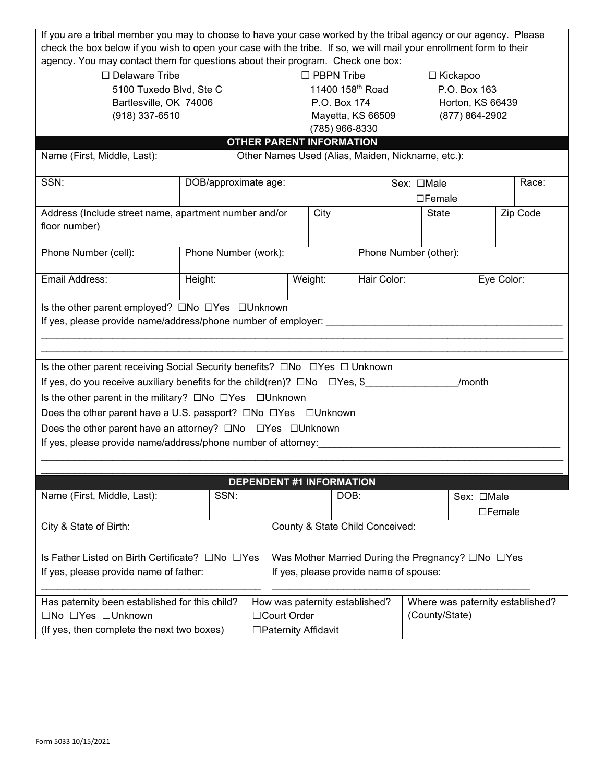| If you are a tribal member you may to choose to have your case worked by the tribal agency or our agency. Please<br>check the box below if you wish to open your case with the tribe. If so, we will mail your enrollment form to their |                      |  |         |                                 |                  |                       |                  |                  |          |
|-----------------------------------------------------------------------------------------------------------------------------------------------------------------------------------------------------------------------------------------|----------------------|--|---------|---------------------------------|------------------|-----------------------|------------------|------------------|----------|
| agency. You may contact them for questions about their program. Check one box:                                                                                                                                                          |                      |  |         |                                 |                  |                       |                  |                  |          |
| $\Box$ Delaware Tribe<br>$\Box$ PBPN Tribe<br>□ Kickapoo                                                                                                                                                                                |                      |  |         |                                 |                  |                       |                  |                  |          |
| 5100 Tuxedo Blvd, Ste C                                                                                                                                                                                                                 |                      |  |         | 11400 158 <sup>th</sup> Road    |                  |                       | P.O. Box 163     |                  |          |
| Bartlesville, OK 74006                                                                                                                                                                                                                  |                      |  |         | P.O. Box 174                    |                  |                       | Horton, KS 66439 |                  |          |
| (918) 337-6510                                                                                                                                                                                                                          |                      |  |         | Mayetta, KS 66509               |                  |                       | (877) 864-2902   |                  |          |
|                                                                                                                                                                                                                                         |                      |  |         | (785) 966-8330                  |                  |                       |                  |                  |          |
|                                                                                                                                                                                                                                         |                      |  |         | <b>OTHER PARENT INFORMATION</b> |                  |                       |                  |                  |          |
| Other Names Used (Alias, Maiden, Nickname, etc.):<br>Name (First, Middle, Last):                                                                                                                                                        |                      |  |         |                                 |                  |                       |                  |                  |          |
|                                                                                                                                                                                                                                         |                      |  |         |                                 |                  |                       |                  |                  |          |
| SSN:                                                                                                                                                                                                                                    | DOB/approximate age: |  |         |                                 |                  | Sex: □Male            |                  | Race:            |          |
|                                                                                                                                                                                                                                         |                      |  |         |                                 | $\square$ Female |                       |                  |                  |          |
| Address (Include street name, apartment number and/or                                                                                                                                                                                   |                      |  |         | City                            |                  | <b>State</b>          |                  |                  | Zip Code |
| floor number)                                                                                                                                                                                                                           |                      |  |         |                                 |                  |                       |                  |                  |          |
|                                                                                                                                                                                                                                         |                      |  |         |                                 |                  |                       |                  |                  |          |
| Phone Number (cell):                                                                                                                                                                                                                    | Phone Number (work): |  |         |                                 |                  | Phone Number (other): |                  |                  |          |
|                                                                                                                                                                                                                                         |                      |  |         |                                 |                  |                       |                  |                  |          |
| Email Address:                                                                                                                                                                                                                          | Height:              |  | Weight: |                                 | Hair Color:      |                       |                  | Eye Color:       |          |
|                                                                                                                                                                                                                                         |                      |  |         |                                 |                  |                       |                  |                  |          |
|                                                                                                                                                                                                                                         |                      |  |         |                                 |                  |                       |                  |                  |          |
| If yes, please provide name/address/phone number of employer:                                                                                                                                                                           |                      |  |         |                                 |                  |                       |                  |                  |          |
|                                                                                                                                                                                                                                         |                      |  |         |                                 |                  |                       |                  |                  |          |
|                                                                                                                                                                                                                                         |                      |  |         |                                 |                  |                       |                  |                  |          |
| Is the other parent receiving Social Security benefits? □No □Yes □ Unknown                                                                                                                                                              |                      |  |         |                                 |                  |                       |                  |                  |          |
| If yes, do you receive auxiliary benefits for the child(ren)? $\square$ No $\square$ Yes, \$                                                                                                                                            |                      |  |         |                                 |                  |                       | /month           |                  |          |
|                                                                                                                                                                                                                                         |                      |  |         |                                 |                  |                       |                  |                  |          |
| Is the other parent in the military? □No □Yes □Unknown<br>Does the other parent have a U.S. passport? □No □Yes □Unknown                                                                                                                 |                      |  |         |                                 |                  |                       |                  |                  |          |
| Does the other parent have an attorney? □No □Yes □Unknown                                                                                                                                                                               |                      |  |         |                                 |                  |                       |                  |                  |          |
| If yes, please provide name/address/phone number of attorney:                                                                                                                                                                           |                      |  |         |                                 |                  |                       |                  |                  |          |
|                                                                                                                                                                                                                                         |                      |  |         |                                 |                  |                       |                  |                  |          |
|                                                                                                                                                                                                                                         |                      |  |         |                                 |                  |                       |                  |                  |          |
| <b>DEPENDENT #1 INFORMATION</b>                                                                                                                                                                                                         |                      |  |         |                                 |                  |                       |                  |                  |          |
| Name (First, Middle, Last):                                                                                                                                                                                                             | SSN:                 |  |         | DOB:                            |                  |                       | Sex: □Male       |                  |          |
|                                                                                                                                                                                                                                         |                      |  |         |                                 |                  |                       |                  | $\square$ Female |          |
|                                                                                                                                                                                                                                         |                      |  |         |                                 |                  |                       |                  |                  |          |
| County & State Child Conceived:<br>City & State of Birth:                                                                                                                                                                               |                      |  |         |                                 |                  |                       |                  |                  |          |
|                                                                                                                                                                                                                                         |                      |  |         |                                 |                  |                       |                  |                  |          |
| Is Father Listed on Birth Certificate? □No □Yes<br>Was Mother Married During the Pregnancy? □No □Yes                                                                                                                                    |                      |  |         |                                 |                  |                       |                  |                  |          |
| If yes, please provide name of spouse:<br>If yes, please provide name of father:                                                                                                                                                        |                      |  |         |                                 |                  |                       |                  |                  |          |
|                                                                                                                                                                                                                                         |                      |  |         |                                 |                  |                       |                  |                  |          |
| Where was paternity established?<br>Has paternity been established for this child?<br>How was paternity established?                                                                                                                    |                      |  |         |                                 |                  |                       |                  |                  |          |
| (County/State)<br>□No □Yes □Unknown<br>□Court Order                                                                                                                                                                                     |                      |  |         |                                 |                  |                       |                  |                  |          |
| (If yes, then complete the next two boxes)<br>□Paternity Affidavit                                                                                                                                                                      |                      |  |         |                                 |                  |                       |                  |                  |          |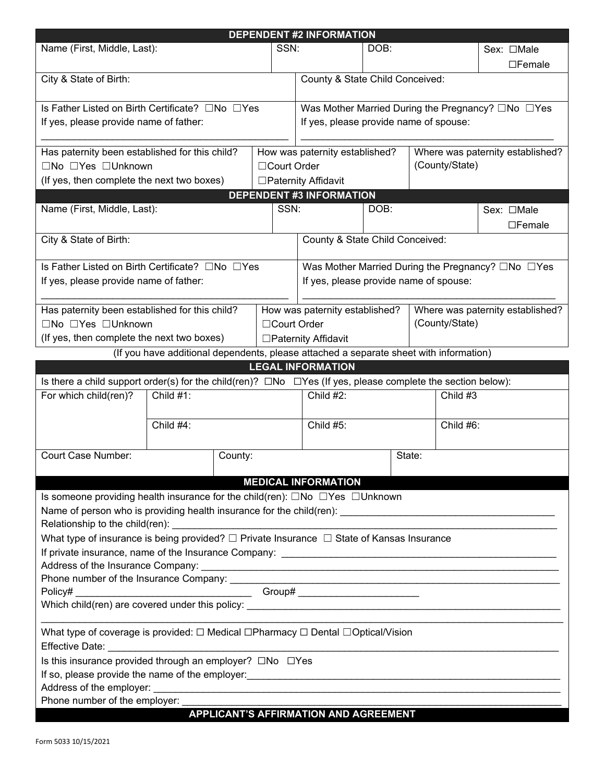| <b>DEPENDENT #2 INFORMATION</b>                                                                                                                                                                                                |                                                                                                                 |              |                                              |      |                                                    |                                                   |  |  |
|--------------------------------------------------------------------------------------------------------------------------------------------------------------------------------------------------------------------------------|-----------------------------------------------------------------------------------------------------------------|--------------|----------------------------------------------|------|----------------------------------------------------|---------------------------------------------------|--|--|
| Name (First, Middle, Last):<br>SSN:                                                                                                                                                                                            |                                                                                                                 |              | DOB:                                         |      |                                                    | Sex: □Male                                        |  |  |
|                                                                                                                                                                                                                                |                                                                                                                 |              |                                              |      |                                                    | $\square$ Female                                  |  |  |
| City & State of Birth:                                                                                                                                                                                                         |                                                                                                                 |              | County & State Child Conceived:              |      |                                                    |                                                   |  |  |
|                                                                                                                                                                                                                                |                                                                                                                 |              |                                              |      |                                                    |                                                   |  |  |
| Is Father Listed on Birth Certificate? □No □Yes                                                                                                                                                                                |                                                                                                                 |              |                                              |      |                                                    | Was Mother Married During the Pregnancy? □No □Yes |  |  |
| If yes, please provide name of father:                                                                                                                                                                                         |                                                                                                                 |              |                                              |      | If yes, please provide name of spouse:             |                                                   |  |  |
|                                                                                                                                                                                                                                |                                                                                                                 |              |                                              |      |                                                    |                                                   |  |  |
| Has paternity been established for this child?                                                                                                                                                                                 |                                                                                                                 |              | How was paternity established?               |      |                                                    |                                                   |  |  |
| □No □Yes □Unknown                                                                                                                                                                                                              |                                                                                                                 | □Court Order |                                              |      | Where was paternity established?<br>(County/State) |                                                   |  |  |
| (If yes, then complete the next two boxes)                                                                                                                                                                                     |                                                                                                                 |              | □ Paternity Affidavit                        |      |                                                    |                                                   |  |  |
|                                                                                                                                                                                                                                |                                                                                                                 |              | <b>DEPENDENT #3 INFORMATION</b>              |      |                                                    |                                                   |  |  |
| Name (First, Middle, Last):                                                                                                                                                                                                    |                                                                                                                 | SSN:         |                                              | DOB: |                                                    |                                                   |  |  |
|                                                                                                                                                                                                                                |                                                                                                                 |              |                                              |      |                                                    | Sex: □Male                                        |  |  |
|                                                                                                                                                                                                                                |                                                                                                                 |              |                                              |      |                                                    | $\square$ Female                                  |  |  |
| City & State of Birth:                                                                                                                                                                                                         |                                                                                                                 |              | County & State Child Conceived:              |      |                                                    |                                                   |  |  |
|                                                                                                                                                                                                                                |                                                                                                                 |              |                                              |      |                                                    |                                                   |  |  |
| Is Father Listed on Birth Certificate? □No □Yes                                                                                                                                                                                |                                                                                                                 |              |                                              |      |                                                    | Was Mother Married During the Pregnancy? □No □Yes |  |  |
| If yes, please provide name of father:                                                                                                                                                                                         |                                                                                                                 |              |                                              |      | If yes, please provide name of spouse:             |                                                   |  |  |
|                                                                                                                                                                                                                                |                                                                                                                 |              |                                              |      |                                                    |                                                   |  |  |
| Has paternity been established for this child?                                                                                                                                                                                 |                                                                                                                 |              | How was paternity established?               |      |                                                    | Where was paternity established?                  |  |  |
| □No □Yes □Unknown                                                                                                                                                                                                              |                                                                                                                 |              | (County/State)<br>□Court Order               |      |                                                    |                                                   |  |  |
| (If yes, then complete the next two boxes)                                                                                                                                                                                     |                                                                                                                 |              | □ Paternity Affidavit                        |      |                                                    |                                                   |  |  |
|                                                                                                                                                                                                                                | (If you have additional dependents, please attached a separate sheet with information)                          |              |                                              |      |                                                    |                                                   |  |  |
|                                                                                                                                                                                                                                |                                                                                                                 |              | <b>LEGAL INFORMATION</b>                     |      |                                                    |                                                   |  |  |
| Is there a child support order(s) for the child(ren)? $\Box$ No $\Box$ Yes (If yes, please complete the section below):                                                                                                        |                                                                                                                 |              |                                              |      |                                                    |                                                   |  |  |
| For which child(ren)?                                                                                                                                                                                                          | Child $#1$ :                                                                                                    |              | Child #2:                                    |      |                                                    | Child #3                                          |  |  |
|                                                                                                                                                                                                                                |                                                                                                                 |              |                                              |      |                                                    |                                                   |  |  |
|                                                                                                                                                                                                                                | Child #4:                                                                                                       |              | Child #5:                                    |      | Child #6:                                          |                                                   |  |  |
|                                                                                                                                                                                                                                |                                                                                                                 |              |                                              |      |                                                    |                                                   |  |  |
| <b>Court Case Number:</b>                                                                                                                                                                                                      | County:                                                                                                         | State:       |                                              |      |                                                    |                                                   |  |  |
|                                                                                                                                                                                                                                |                                                                                                                 |              |                                              |      |                                                    |                                                   |  |  |
| <b>MEDICAL INFORMATION</b>                                                                                                                                                                                                     |                                                                                                                 |              |                                              |      |                                                    |                                                   |  |  |
| Is someone providing health insurance for the child(ren): $\square$ No $\square$ Yes $\square$ Unknown                                                                                                                         |                                                                                                                 |              |                                              |      |                                                    |                                                   |  |  |
|                                                                                                                                                                                                                                |                                                                                                                 |              |                                              |      |                                                    |                                                   |  |  |
|                                                                                                                                                                                                                                | Relationship to the child(ren): example and the contract of the contract of the contract of the contract of the |              |                                              |      |                                                    |                                                   |  |  |
| What type of insurance is being provided? $\Box$ Private Insurance $\Box$ State of Kansas Insurance                                                                                                                            |                                                                                                                 |              |                                              |      |                                                    |                                                   |  |  |
|                                                                                                                                                                                                                                |                                                                                                                 |              |                                              |      |                                                    |                                                   |  |  |
|                                                                                                                                                                                                                                |                                                                                                                 |              |                                              |      |                                                    |                                                   |  |  |
|                                                                                                                                                                                                                                |                                                                                                                 |              |                                              |      |                                                    |                                                   |  |  |
|                                                                                                                                                                                                                                |                                                                                                                 |              |                                              |      |                                                    |                                                   |  |  |
|                                                                                                                                                                                                                                |                                                                                                                 |              |                                              |      |                                                    |                                                   |  |  |
|                                                                                                                                                                                                                                |                                                                                                                 |              |                                              |      |                                                    |                                                   |  |  |
| What type of coverage is provided: □ Medical □Pharmacy □ Dental □Optical/Vision                                                                                                                                                |                                                                                                                 |              |                                              |      |                                                    |                                                   |  |  |
| Effective Date: National Property of the Contract of the Contract of the Contract of the Contract of the Contract of the Contract of the Contract of the Contract of the Contract of the Contract of the Contract of the Contr |                                                                                                                 |              |                                              |      |                                                    |                                                   |  |  |
| Is this insurance provided through an employer? □No □Yes                                                                                                                                                                       |                                                                                                                 |              |                                              |      |                                                    |                                                   |  |  |
|                                                                                                                                                                                                                                |                                                                                                                 |              |                                              |      |                                                    |                                                   |  |  |
| Phone number of the employer:                                                                                                                                                                                                  |                                                                                                                 |              |                                              |      |                                                    |                                                   |  |  |
|                                                                                                                                                                                                                                |                                                                                                                 |              | <b>APPLICANT'S AFFIRMATION AND AGREEMENT</b> |      |                                                    |                                                   |  |  |
|                                                                                                                                                                                                                                |                                                                                                                 |              |                                              |      |                                                    |                                                   |  |  |